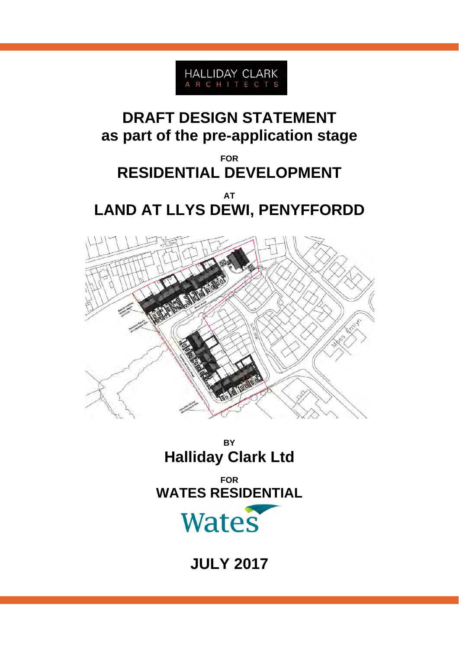

# **DRAFT DESIGN STATEMENT as part of the pre-application stage**

## **FOR RESIDENTIAL DEVELOPMENT**

### **AT LAND AT LLYS DEWI, PENYFFORDD**



**BY Halliday Clark Ltd** 

**FOR WATES RESIDENTIAL** 

# Wates

**JULY 2017**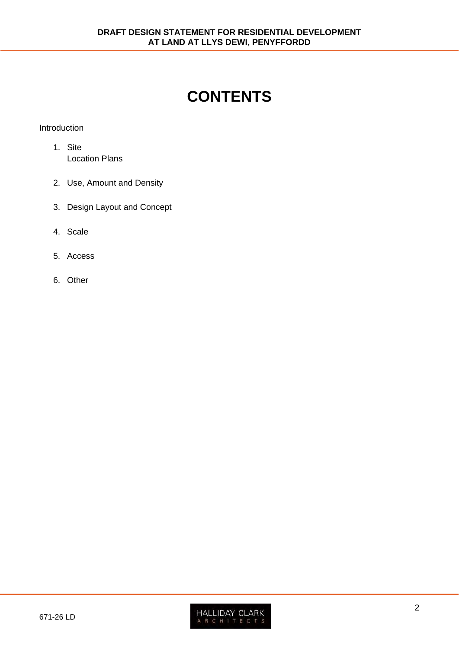## **CONTENTS**

#### Introduction

- 1. Site Location Plans
- 2. Use, Amount and Density
- 3. Design Layout and Concept
- 4. Scale
- 5. Access
- 6. Other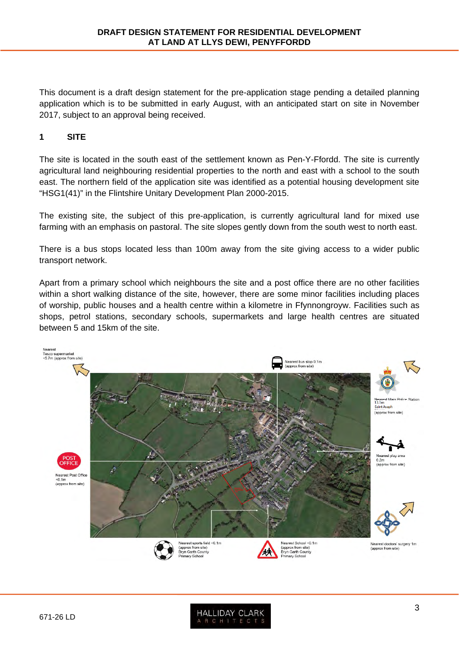This document is a draft design statement for the pre-application stage pending a detailed planning application which is to be submitted in early August, with an anticipated start on site in November 2017, subject to an approval being received.

#### **1 SITE**

The site is located in the south east of the settlement known as Pen-Y-Ffordd. The site is currently agricultural land neighbouring residential properties to the north and east with a school to the south east. The northern field of the application site was identified as a potential housing development site "HSG1(41)" in the Flintshire Unitary Development Plan 2000-2015.

The existing site, the subject of this pre-application, is currently agricultural land for mixed use farming with an emphasis on pastoral. The site slopes gently down from the south west to north east.

There is a bus stops located less than 100m away from the site giving access to a wider public transport network.

Apart from a primary school which neighbours the site and a post office there are no other facilities within a short walking distance of the site, however, there are some minor facilities including places of worship, public houses and a health centre within a kilometre in Ffynnongroyw. Facilities such as shops, petrol stations, secondary schools, supermarkets and large health centres are situated between 5 and 15km of the site.

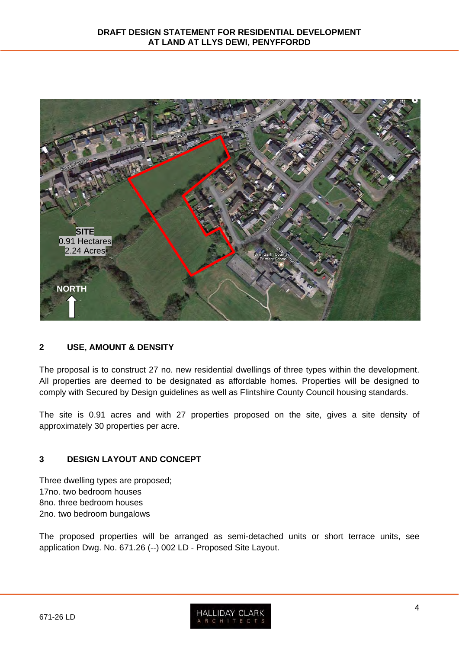

#### **2 USE, AMOUNT & DENSITY**

The proposal is to construct 27 no. new residential dwellings of three types within the development. All properties are deemed to be designated as affordable homes. Properties will be designed to comply with Secured by Design guidelines as well as Flintshire County Council housing standards.

The site is 0.91 acres and with 27 properties proposed on the site, gives a site density of approximately 30 properties per acre.

#### **3 DESIGN LAYOUT AND CONCEPT**

Three dwelling types are proposed; 17no. two bedroom houses 8no. three bedroom houses 2no. two bedroom bungalows

The proposed properties will be arranged as semi-detached units or short terrace units, see application Dwg. No. 671.26 (--) 002 LD - Proposed Site Layout.